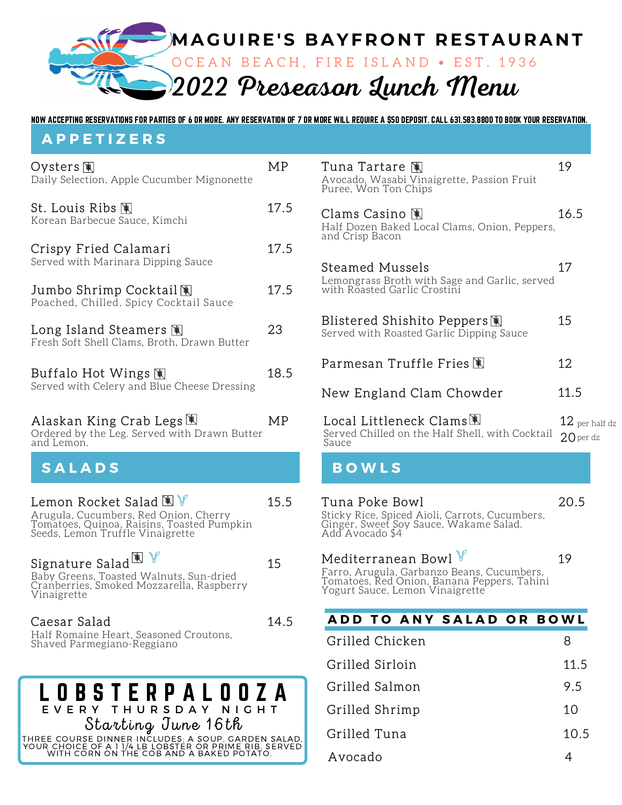

NOW ACCEPTING RESERVATIONS FOR PARTIES OF 6 OR MORE. ANY RESERVATION OF 7 OR MORE WILL REQUIRE A \$50 DEPOSIT. CALL 631.583.8800 TO BOOK YOUR RESERVATION.

#### **A P P E T I Z E R S**

| Oysters 阐<br>Daily Selection, Apple Cucumber Mignonette                                                                                                                  | МP   |
|--------------------------------------------------------------------------------------------------------------------------------------------------------------------------|------|
| St. Louis Ribs 阐<br>Korean Barbecue Sauce, Kimchi                                                                                                                        | 17.5 |
| Crispy Fried Calamari<br>Served with Marinara Dipping Sauce                                                                                                              | 17.5 |
| Jumbo Shrimp Cocktail阐<br>Poached, Chilled, Spicy Cocktail Sauce                                                                                                         | 17.5 |
| Long Island Steamers $\mathbb R$<br>Fresh Soft Shell Clams, Broth, Drawn Butter                                                                                          | 23   |
| Buffalo Hot Wings 阄<br>Served with Celery and Blue Cheese Dressing                                                                                                       | 18.5 |
| Alaskan King Crab Legs 團<br>Ordered by the Leg. Served with Drawn Butter<br>and Lemon.                                                                                   | MP   |
|                                                                                                                                                                          |      |
| <b>SALADS</b>                                                                                                                                                            |      |
| Lemon Rocket Salad $\mathbb{R} \, \mathbb{V}$<br>Arugula, Cucumbers, Red Onion, Cherry<br>Tomatoes, Quinoa, Raisins, Toasted Pumpkin<br>Seeds, Lemon Truffle Vinaigrette | 15.5 |
| Signature Salad $\overline{\mathbb{R}}$ $\mathbb{V}$<br>Baby Greens, Toasted Walnuts, Sun-dried<br>Cranberries, Smoked Mozzarella, Raspberry<br>Vinaigrette              | 15   |
| Caesar Salad<br>Half Romaine Heart, Seasoned Croutons,<br>Shaved Parmegiano-Reggiano                                                                                     | 14.5 |

| Tuna Tartare 阐                                                     |      |
|--------------------------------------------------------------------|------|
| Avocado, Wasabi Vinaigrette, Passion Fruit<br>Puree, Won Ton Chips |      |
| Clams Casino 闑                                                     | 16.5 |
| Half Dozen Baked Local Clams, Onion, Peppers,<br>and Crisp Bacon   |      |

| <b>Steamed Mussels</b><br>Lemongrass Broth with Sage and Garlic, served<br>with Roasted Garlic Crostini |            |
|---------------------------------------------------------------------------------------------------------|------------|
| Blistered Shishito Peppers图<br>Served with Roasted Garlic Dipping Sauce                                 | 15         |
| Parmesan Truffle Fries 阄                                                                                | 12         |
| New England Clam Chowder                                                                                | 11.5       |
| Local Littleneck Clams團                                                                                 | $12$ per l |

| Local Littleneck Clams <sup>图</sup>                                  | $12\,$ per half dz |
|----------------------------------------------------------------------|--------------------|
| Served Chilled on the Half Shell, with Cocktail $20$ per dz<br>Sauce |                    |

#### **S A L A D S B O W L S**

| Tuna Poke Bowl                                                                                              | 20.5 |
|-------------------------------------------------------------------------------------------------------------|------|
| Sticky Rice, Spiced Aioli, Carrots, Cucumbers,<br>Ginger, Sweet Soy Sauce, Wakame Salad.<br>Add Avocado \$4 |      |

# Mediterranean Bowl  $\mathbb {V}$  19

Farro, Arugula, Garbanzo Beans, Cucumbers, Tomatoes, Red Onion, Banana Peppers, Tahini Yogurt Sauce, Lemon Vinaigrette

### **A D D T O A N Y S A L A D O R B O W L**

| Grilled Chicken | 8    |
|-----------------|------|
| Grilled Sirloin | 11.5 |
| Grilled Salmon  | 9.5  |
| Grilled Shrimp  | 10   |
| Grilled Tuna    | 10.5 |
| Avocado         |      |